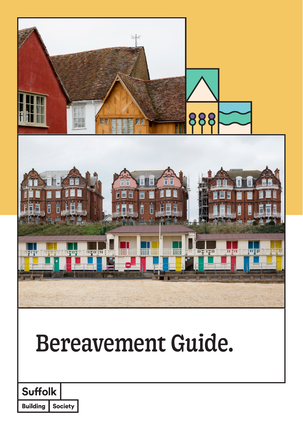

**Building Society**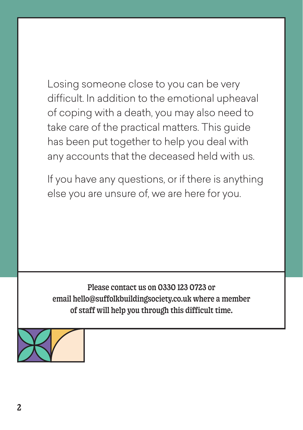Losing someone close to you can be very difficult. In addition to the emotional upheaval of coping with a death, you may also need to take care of the practical matters. This guide has been put together to help you deal with any accounts that the deceased held with us.

If you have any questions, or if there is anything else you are unsure of, we are here for you.

Please contact us on 0330 123 0723 or email hello@suffolkbuildingsociety.co.uk where a member of staff will help you through this difficult time.

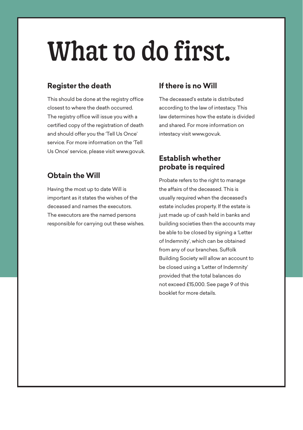# What to do first.

#### **Register the death**

This should be done at the registry office closest to where the death occurred. The registry office will issue you with a certified copy of the registration of death and should offer you the 'Tell Us Once' service. For more information on the 'Tell Us Once' service, please visit www.gov.uk.

#### **Obtain the Will**

Having the most up to date Will is important as it states the wishes of the deceased and names the executors. The executors are the named persons responsible for carrying out these wishes.

#### **If there is no Will**

The deceased's estate is distributed according to the law of intestacy. This law determines how the estate is divided and shared. For more information on intestacy visit www.gov.uk.

#### **Establish whether probate is required**

Probate refers to the right to manage the affairs of the deceased. This is usually required when the deceased's estate includes property. If the estate is just made up of cash held in banks and building societies then the accounts may be able to be closed by signing a 'Letter of Indemnity', which can be obtained from any of our branches. Suffolk Building Society will allow an account to be closed using a 'Letter of Indemnity' provided that the total balances do not exceed £15,000. See page 9 of this booklet for more details.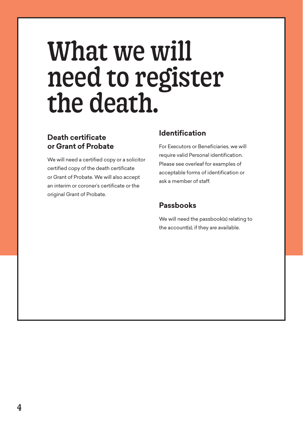## What we will need to register the death.

#### **Death certificate or Grant of Probate**

We will need a certified copy or a solicitor certified copy of the death certificate or Grant of Probate. We will also accept an interim or coroner's certificate or the original Grant of Probate.

#### **Identification**

For Executors or Beneficiaries, we will require valid Personal identification. Please see overleaf for examples of acceptable forms of identification or ask a member of staff.

#### **Passbooks**

We will need the passbook(s) relating to the account(s), if they are available.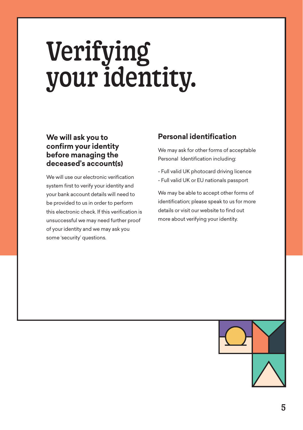# Verifying your identity.

#### **We will ask you to confirm your identity before managing the deceased's account(s)**

We will use our electronic verification system first to verify your identity and your bank account details will need to be provided to us in order to perform this electronic check. If this verification is unsuccessful we may need further proof of your identity and we may ask you some 'security' questions.

#### **Personal identification**

We may ask for other forms of acceptable Personal Identification including:

- Full valid UK photocard driving licence - Full valid UK or EU nationals passport

We may be able to accept other forms of identification; please speak to us for more details or visit our website to find out more about verifying your identity.

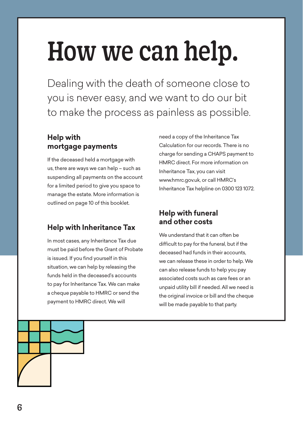# How we can help.

Dealing with the death of someone close to you is never easy, and we want to do our bit to make the process as painless as possible.

#### **Help with mortgage payments**

If the deceased held a mortgage with us, there are ways we can help – such as suspending all payments on the account for a limited period to give you space to manage the estate. More information is outlined on page 10 of this booklet.

#### **Help with Inheritance Tax**

In most cases, any Inheritance Tax due must be paid before the Grant of Probate is issued. If you find yourself in this situation, we can help by releasing the funds held in the deceased's accounts to pay for Inheritance Tax. We can make a cheque payable to HMRC or send the payment to HMRC direct. We will

need a copy of the Inheritance Tax Calculation for our records. There is no charge for sending a CHAPS payment to HMRC direct. For more information on Inheritance Tax, you can visit www.hmrc.gov.uk, or call HMRC's Inheritance Tax helpline on 0300 123 1072.

#### **Help with funeral and other costs**

We understand that it can often be difficult to pay for the funeral, but if the deceased had funds in their accounts, we can release these in order to help. We can also release funds to help you pay associated costs such as care fees or an unpaid utility bill if needed. All we need is the original invoice or bill and the cheque will be made payable to that party.

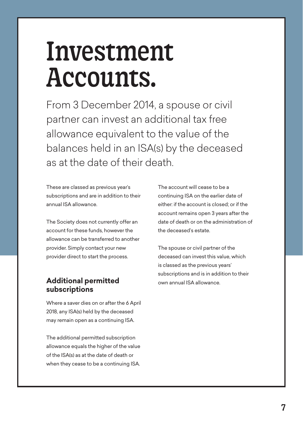## Investment Accounts.

From 3 December 2014, a spouse or civil partner can invest an additional tax free allowance equivalent to the value of the balances held in an ISA(s) by the deceased as at the date of their death.

These are classed as previous year's subscriptions and are in addition to their annual ISA allowance.

The Society does not currently offer an account for these funds, however the allowance can be transferred to another provider. Simply contact your new provider direct to start the process.

#### **Additional permitted subscriptions**

Where a saver dies on or after the 6 April 2018, any ISA(s) held by the deceased may remain open as a continuing ISA.

The additional permitted subscription allowance equals the higher of the value of the ISA(s) as at the date of death or when they cease to be a continuing ISA. The account will cease to be a continuing ISA on the earlier date of either: if the account is closed; or if the account remains open 3 years after the date of death or on the administration of the deceased's estate.

The spouse or civil partner of the deceased can invest this value, which is classed as the previous years' subscriptions and is in addition to their own annual ISA allowance.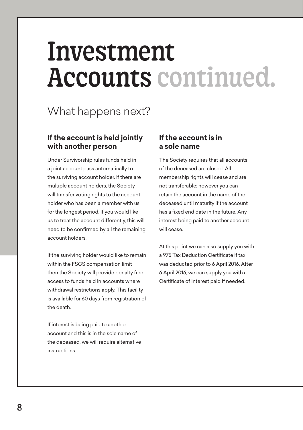## Investment Accounts continued.

### What happens next?

#### **If the account is held jointly with another person**

Under Survivorship rules funds held in a joint account pass automatically to the surviving account holder. If there are multiple account holders, the Society will transfer voting rights to the account holder who has been a member with us for the longest period. If you would like us to treat the account differently, this will need to be confirmed by all the remaining account holders.

If the surviving holder would like to remain within the FSCS compensation limit then the Society will provide penalty free access to funds held in accounts where withdrawal restrictions apply. This facility is available for 60 days from registration of the death.

If interest is being paid to another account and this is in the sole name of the deceased, we will require alternative instructions.

#### **If the account is in a sole name**

The Society requires that all accounts of the deceased are closed. All membership rights will cease and are not transferable; however you can retain the account in the name of the deceased until maturity if the account has a fixed end date in the future. Any interest being paid to another account will cease.

At this point we can also supply you with a 975 Tax Deduction Certificate if tax was deducted prior to 6 April 2016. After 6 April 2016, we can supply you with a Certificate of Interest paid if needed.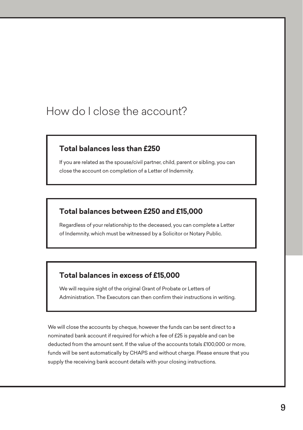### How do I close the account?

#### **Total balances less than £250**

If you are related as the spouse/civil partner, child, parent or sibling, you can close the account on completion of a Letter of Indemnity.

#### **Total balances between £250 and £15,000**

Regardless of your relationship to the deceased, you can complete a Letter of Indemnity, which must be witnessed by a Solicitor or Notary Public.

#### **Total balances in excess of £15,000**

We will require sight of the original Grant of Probate or Letters of Administration. The Executors can then confirm their instructions in writing.

We will close the accounts by cheque, however the funds can be sent direct to a nominated bank account if required for which a fee of £25 is payable and can be deducted from the amount sent. If the value of the accounts totals £100,000 or more, funds will be sent automatically by CHAPS and without charge. Please ensure that you supply the receiving bank account details with your closing instructions.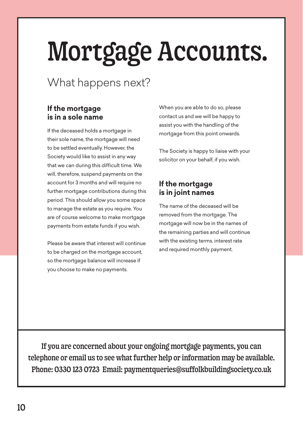# Mortgage Accounts.

### What happens next?

#### **If the mortgage is in a sole name**

If the deceased holds a mortgage in their sole name, the mortgage will need to be settled eventually. However, the Society would like to assist in any way that we can during this difficult time. We will, therefore, suspend payments on the account for 3 months and will require no further mortgage contributions during this period. This should allow you some space to manage the estate as you require. You are of course welcome to make mortgage payments from estate funds if you wish.

Please be aware that interest will continue to be charged on the mortgage account, so the mortgage balance will increase if you choose to make no payments.

When you are able to do so, please contact us and we will be happy to assist you with the handling of the mortgage from this point onwards.

The Society is happy to liaise with your solicitor on your behalf, if you wish.

#### **If the mortgage is in joint names**

The name of the deceased will be removed from the mortgage. The mortgage will now be in the names of the remaining parties and will continue with the existing terms, interest rate and required monthly payment.

If you are concerned about your ongoing mortgage payments, you can telephone or email us to see what further help or information may be available. Phone: 0330 123 0723 Email: paymentqueries@suffolkbuildingsociety.co.uk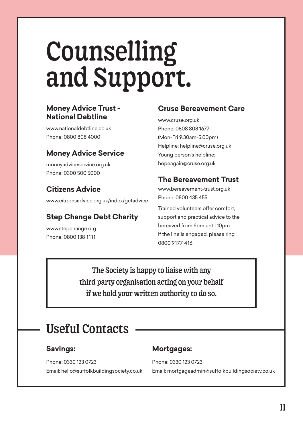## Counselling and Support.

#### **Money Advice Trust - National Debtline**

www.nationaldebtline.co.uk Phone: 0800 808 4000

#### **Money Advice Service**

moneyadviceservice.org.uk Phone: 0300 500 5000

#### **Citizens Advice**

www.citizensadvice.org.uk/index/getadvice

#### **Step Change Debt Charity**

www.stepchange.org Phone: 0800 138 1111

#### **Cruse Bereavement Care**

www.cruse.org.uk Phone: 0808 808 1677 (Mon-Fri 9.30am-5.00pm) Helpline: helpline@cruse.org.uk Young person's helpline: hopeagain@cruse.org.uk

#### **The Bereavement Trust**

www.bereavement-trust.org.uk Phone: 0800 435 455

Trained volunteers offer comfort, support and practical advice to the bereaved from 6pm until 10pm. If the line is engaged, please ring 0800 9177 416.

The Society is happy to liaise with any third party organisation acting on your behalf if we hold your written authority to do so.

### Useful Contacts

#### **Savings:**

Phone: 0330 123 0723 Email: hello@suffolkbuildingsociety.co.uk

#### **Mortgages:**

Phone: 0330 123 0723 Email: mortgageadmin@suffolkbuildingsociety.co.uk